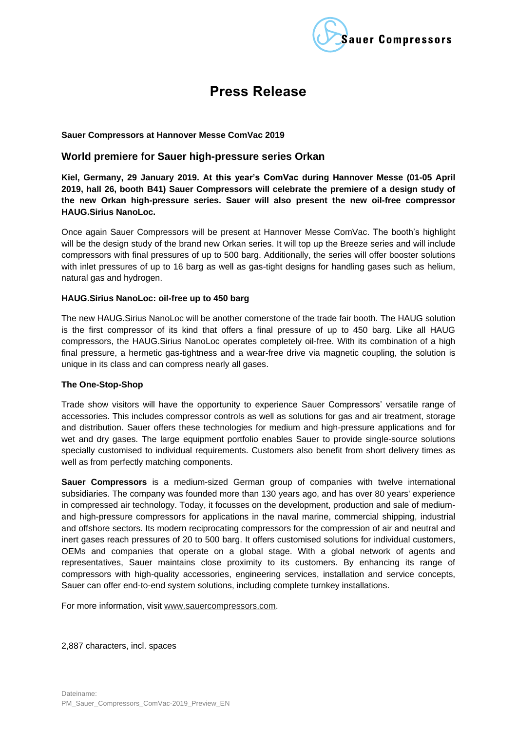

# **Press Release**

#### **Sauer Compressors at Hannover Messe ComVac 2019**

# **World premiere for Sauer high-pressure series Orkan**

**Kiel, Germany, 29 January 2019. At this year's ComVac during Hannover Messe (01-05 April 2019, hall 26, booth B41) Sauer Compressors will celebrate the premiere of a design study of the new Orkan high-pressure series. Sauer will also present the new oil-free compressor HAUG.Sirius NanoLoc.**

Once again Sauer Compressors will be present at Hannover Messe ComVac. The booth's highlight will be the design study of the brand new Orkan series. It will top up the Breeze series and will include compressors with final pressures of up to 500 barg. Additionally, the series will offer booster solutions with inlet pressures of up to 16 barg as well as gas-tight designs for handling gases such as helium, natural gas and hydrogen.

#### **HAUG.Sirius NanoLoc: oil-free up to 450 barg**

The new HAUG.Sirius NanoLoc will be another cornerstone of the trade fair booth. The HAUG solution is the first compressor of its kind that offers a final pressure of up to 450 barg. Like all HAUG compressors, the HAUG.Sirius NanoLoc operates completely oil-free. With its combination of a high final pressure, a hermetic gas-tightness and a wear-free drive via magnetic coupling, the solution is unique in its class and can compress nearly all gases.

## **The One-Stop-Shop**

Trade show visitors will have the opportunity to experience Sauer Compressors' versatile range of accessories. This includes compressor controls as well as solutions for gas and air treatment, storage and distribution. Sauer offers these technologies for medium and high-pressure applications and for wet and dry gases. The large equipment portfolio enables Sauer to provide single-source solutions specially customised to individual requirements. Customers also benefit from short delivery times as well as from perfectly matching components.

**Sauer Compressors** is a medium-sized German group of companies with twelve international subsidiaries. The company was founded more than 130 years ago, and has over 80 years' experience in compressed air technology. Today, it focusses on the development, production and sale of mediumand high-pressure compressors for applications in the naval marine, commercial shipping, industrial and offshore sectors. Its modern reciprocating compressors for the compression of air and neutral and inert gases reach pressures of 20 to 500 barg. It offers customised solutions for individual customers, OEMs and companies that operate on a global stage. With a global network of agents and representatives, Sauer maintains close proximity to its customers. By enhancing its range of compressors with high-quality accessories, engineering services, installation and service concepts, Sauer can offer end-to-end system solutions, including complete turnkey installations.

For more information, visit [www.sauercompressors.com.](http://www.sauercompressors.com/)

2,887 characters, incl. spaces